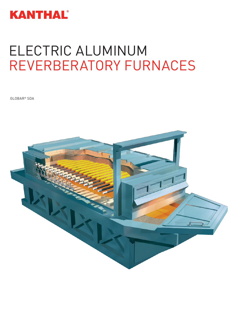

# ELECTRIC ALUMINUM REVERBERATORY FURNACES

GLOBAR® SDA

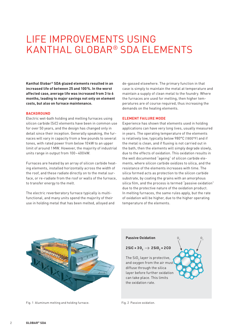### LIFE IMPROVEMENTS USING KANTHAL GLOBAR® SDA ELEMENTS

**Kanthal Globar® SDA glazed elements resulted in an increased life of between 25 and 100%. In the worst affected case, average life was increased from 3 to 6 months, leading to major savings not only on element costs, but also on furnace maintenance.**

### **BACKGROUND**

Electric wet-bath holding and melting furnaces using silicon carbide (SiC) elements have been in common use for over 50 years, and the design has changed only in detail since their inception. Generally speaking, the furnaces will vary in capacity from a few pounds to several tones, with rated power from below 10kW to an upper limit of around 1MW. However, the majority of industrial units range in output from 100–400kW.

Furnaces are heated by an array of silicon carbide heating elements, installed horizontally across the width of the roof, and these radiate directly on to the metal surface, or re-radiate from the roof or walls of the furnace, to transfer energy to the melt.

The electric reverberatory furnace typically is multifunctional, and many units spend the majority of their use in holding metal that has been melted, alloyed and

de-gassed elsewhere. The primary function in that case is simply to maintain the metal at temperature and maintain a supply of clean metal to the foundry. Where the furnaces are used for melting, then higher temperatures are of course required, thus increasing the demands on the heating elements.

#### **ELEMENT FAILURE MODE**

Experience has shown that elements used in holding applications can have very long lives, usually measured in years. The operating temperature of the elements is relatively low, typically below 980°C (1800°F) and if the metal is clean, and if fluxing is not carried out in the bath, then the elements will simply degrade slowly, due to the effects of oxidation. This oxidation results in the well documented "ageing" of silicon carbide elements, where silicon carbide oxidizes to silica, and the resistance of the elements increases with time. The silica formed acts as protection to the silicon carbide substrate, by coating the grains with an amorphous silica film, and the process is termed "passive oxidation" due to the protective nature of the oxidation product. In melting furnaces, the same rules apply, but the rate of oxidation will be higher, due to the higher operating temperature of the elements.

 $\mathsf{O}_2$   $\qquad \qquad \mathsf{O}_2$ 



Fig. 1 Aluminum melting and holding furnace. The South Rig. 2 Passive oxidation.

### **Passive Oxidation**

 $\mathsf{2SiC} + \mathsf{3O}_2 \rightarrow \mathsf{2SiO}_2 \texttt{+2CO}$ 

The  $\mathsf{SiO}_2$  layer is protective, and oxygen from the air must diffuse through the silica layer before further oxidation can take place. This limits the oxidation rate.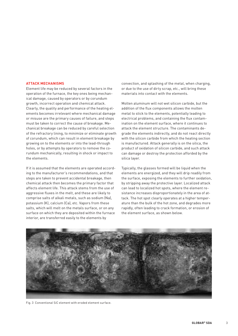#### **ATTACK MECHANISMS**

Element life may be reduced by several factors in the operation of the furnace, the key ones being mechanical damage, caused by operators or by corundum growth, incorrect operation and chemical attack. Clearly, the quality and performance of the heating elements becomes irrelevant where mechanical damage or misuse are the primary causes of failure, and steps must be taken to correct the cause of breakage. Mechanical breakage can be reduced by careful selection of the refractory lining, to minimize or eliminate growth of corundum, which can result in element breakage by growing on to the elements or into the lead-through holes, or by attempts by operators to remove the corundum mechanically, resulting in shock or impact to the elements.

If it is assumed that the elements are operated according to the manufacturer's recommendations, and that steps are taken to prevent accidental breakage, then chemical attack then becomes the primary factor that affects element life. This attack stems from the use of aggressive fluxes in the melt, and these are likely to comprise salts of alkali metals, such as sodium (Na), potassium (K), calcium (Ca), etc. Vapors from these salts, which will melt on the metals surface, or on any surface on which they are deposited within the furnace interior, are transferred easily to the elements by

convection, and splashing of the metal, when charging, or due to the use of dirty scrap, etc., will bring these materials into contact with the elements.

Molten aluminum will not wet silicon carbide, but the addition of the flux components allows the molten metal to stick to the elements, potentially leading to electrical problems, and containing the flux contamination on the element surface, where it continues to attack the element structure. The contaminants degrade the elements indirectly, and do not react directly with the silicon carbide from which the heating section is manufactured. Attack generally is on the silica, the product of oxidation of silicon carbide, and such attack can damage or destroy the protection afforded by the silica layer.

Typically, the glasses formed will be liquid when the elements are energized, and they will drip readily from the surface, exposing the elements to further oxidation, by stripping away the protective layer. Localized attack can lead to localized hot spots, where the element resistance increases disproportionately in the area of attack. The hot spot clearly operates at a higher temperature than the bulk of the hot zone, and degrades more rapidly, often leading to crack formation, or erosion of the element surface, as shown below.



Fig. 3 Conventional SiC element with eroded element surface.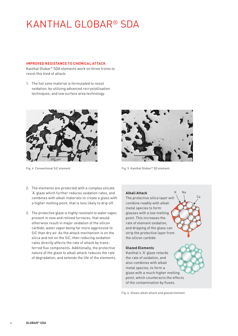### KANTHAL GLOBAR® SDA

### **IMPROVED RESISTANCE TO CHEMICAL ATTACK**

Kanthal Globar® SDA elements work on three fronts to resist this kind of attack:

1. The hot zone material is formulated to resist oxidation, by utilizing advanced recrystallisation techniques, and low surface area technology.





Fig. 4 Conventional SiC element. The state of the South of Fig. 5 Kanthal Globar® SD element.

- 2. The elements are protected with a complex silicate 'A' glaze which further reduces oxidation rates, and combines with alkali materials to create a glass with a higher melting point, that is less likely to drip off.
- 3. The protective glaze is highly resistant to water vapor, present in new and relined furnaces, that would otherwise result in major oxidation of the silicon carbide, water vapor being far more aggressive to SiC than dry air. As the attack mechanism is on the silica and not on the SiC, then reducing oxidation rates directly affects the rate of attack by transferred flux components. Additionally, the protective nature of the glaze to alkali attack reduces the rate of degradation, and extends the life of the elements.

### Ca **Alkali Attack** The protective silica layer will combine readily with alkali metal species to form glasses with a low melting point. This increases the rate of element oxidation, and dripping of the glass can strip the protective layer from the silicon carbide. **Glazed Elements** Kanthal's 'A' glaze retards the rate of oxidation, and also combines with alkali metal species, to form a glaze with a much higher melting point, which counteracts the effects

of the contamination by fluxes.

Fig. 6 Shows alkali attack and glazed element.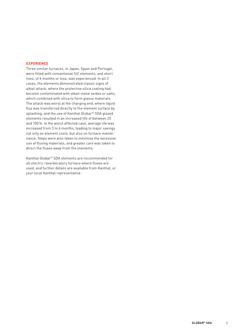### **EXPERIENCE**

Three similar furnaces, in Japan, Spain and Portugal, were fitted with conventional SiC elements, and short lives, of 6 months or less, was experienced. In all 3 cases, the elements demonstrated classic signs of alkali attack, where the protective silica coating had become contaminated with alkali metal oxides or salts, which combined with silica to form glassy materials. The attack was worst at the charging end, where liquid flux was transferred directly to the element surface by splashing, and the use of Kanthal Globar® SDA glazed elements resulted in an increased life of between 25 and 100%. In the worst affected case, average life was increased from 3 to 6 months, leading to major savings not only on element costs, but also on furnace maintenance. Steps were also taken to minimize the excessive use of fluxing materials, and greater care was taken to direct the fluxes away from the elements.

Kanthal Globar® SDA elements are recommended for all electric reverberatory furnace where fluxes are used, and further details are available from Kanthal, or your local Kanthal representative.